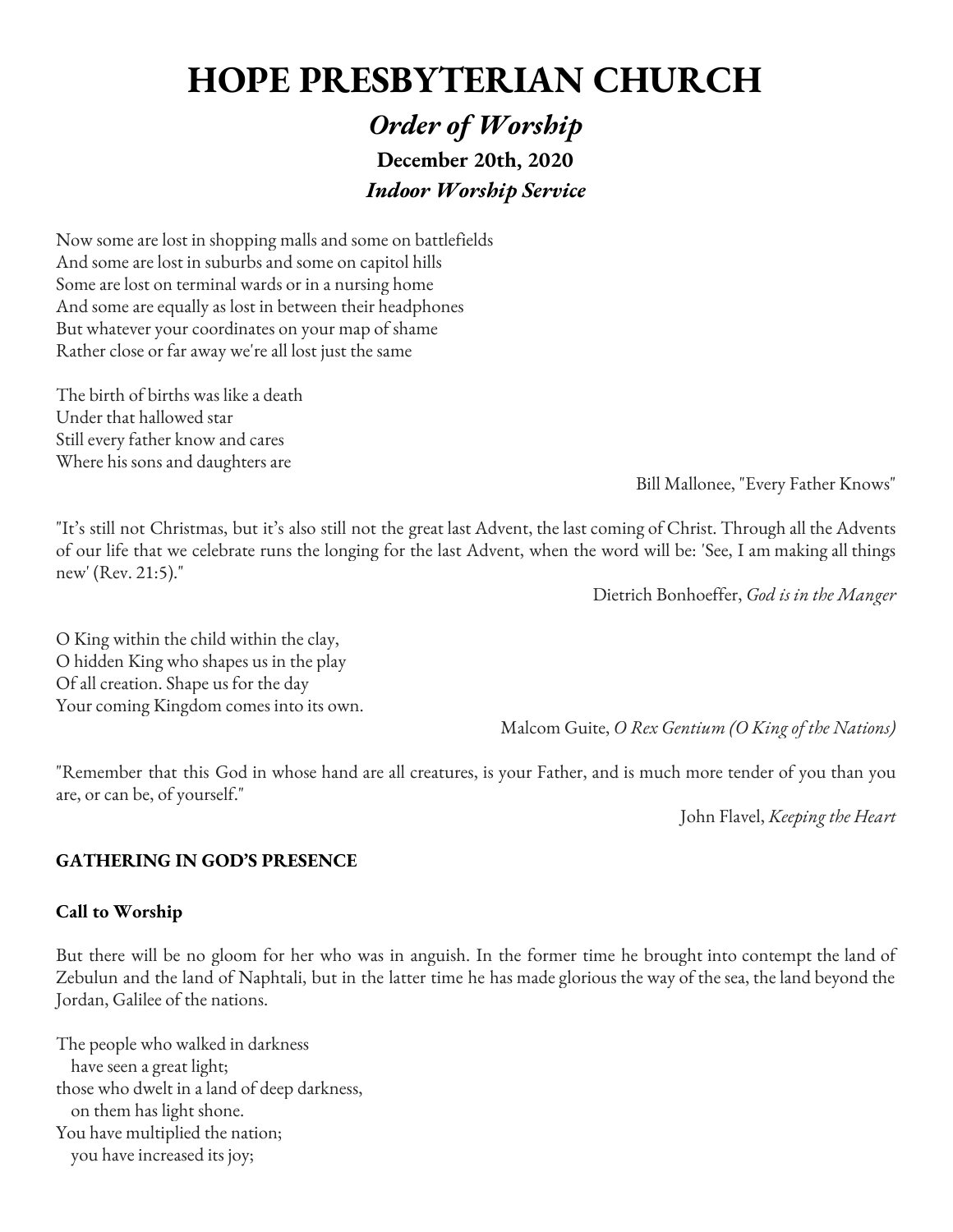# **HOPE PRESBYTERIAN CHURCH**

# *Order of Worship* **December 20th, 2020** *Indoor Worship Service*

Now some are lost in shopping malls and some on battlefields And some are lost in suburbs and some on capitol hills Some are lost on terminal wards or in a nursing home And some are equally as lost in between their headphones But whatever your coordinates on your map of shame Rather close or far away we're all lost just the same

The birth of births was like a death Under that hallowed star Still every father know and cares Where his sons and daughters are

Bill Mallonee, "Every Father Knows"

"It's still not Christmas, but it's also still not the great last Advent, the last coming of Christ. Through all the Advents of our life that we celebrate runs the longing for the last Advent, when the word will be: 'See, I am making all things new' (Rev. 21:5)."

Dietrich Bonhoeffer, *God is in the Manger*

O King within the child within the clay, O hidden King who shapes us in the play Of all creation. Shape us for the day Your coming Kingdom comes into its own.

Malcom Guite, *O Rex Gentium (O King of the Nations)*

"Remember that this God in whose hand are all creatures, is your Father, and is much more tender of you than you are, or can be, of yourself."

John Flavel, *Keeping the Heart*

#### **GATHERING IN GOD'S PRESENCE**

#### **Call to Worship**

But there will be no gloom for her who was in anguish. In the former time he brought into contempt the land of Zebulun and the land of Naphtali, but in the latter time he has made glorious the way of the sea, the land beyond the Jordan, Galilee of the nations.

The people who walked in darkness have seen a great light; those who dwelt in a land of deep darkness, on them has light shone. You have multiplied the nation; you have increased its joy;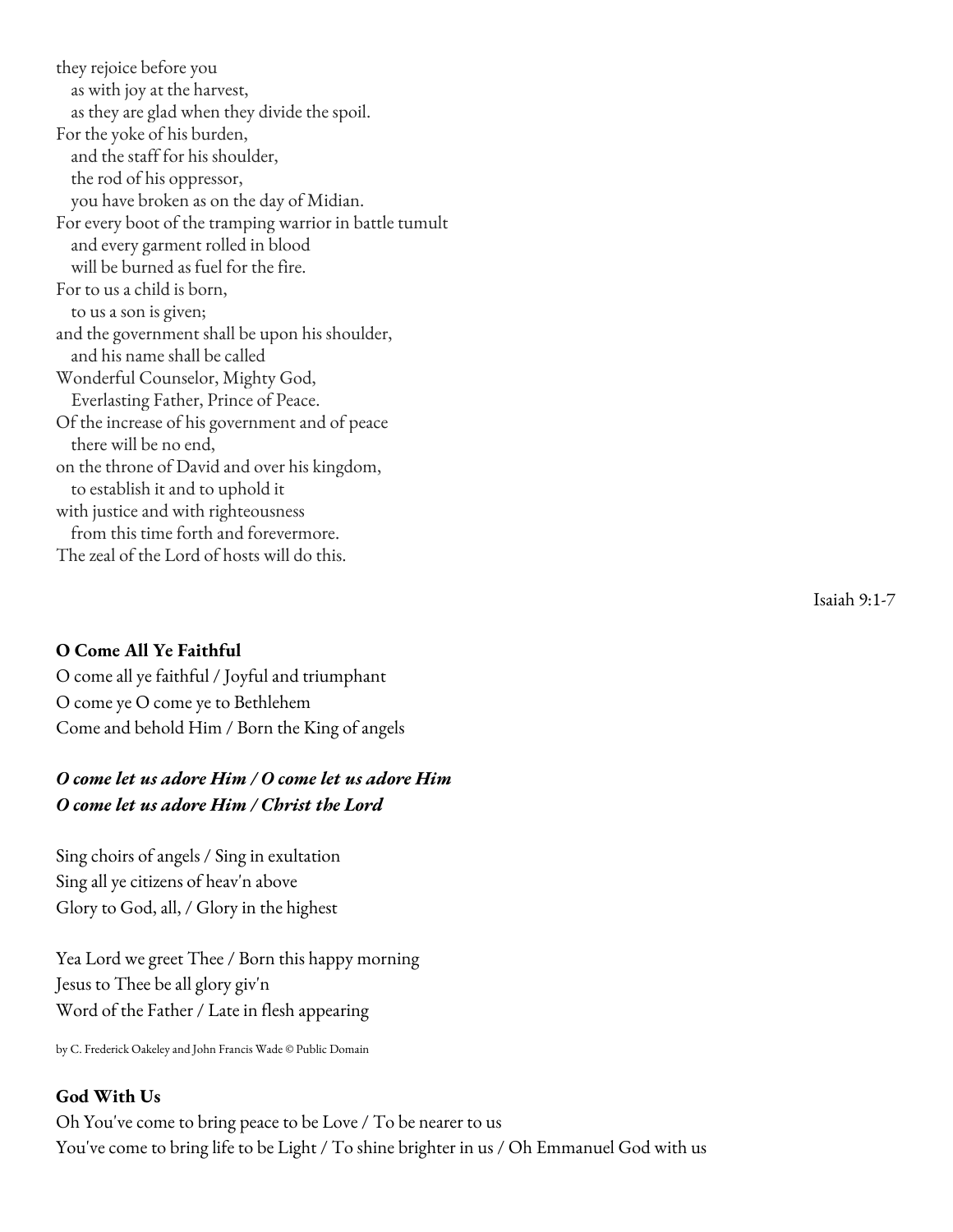they rejoice before you as with joy at the harvest, as they are glad when they divide the spoil. For the yoke of his burden, and the staff for his shoulder, the rod of his oppressor, you have broken as on the day of Midian. For every boot of the tramping warrior in battle tumult and every garment rolled in blood will be burned as fuel for the fire. For to us a child is born, to us a son is given; and the government shall be upon his shoulder, and his name shall be called Wonderful Counselor, Mighty God, Everlasting Father, Prince of Peace. Of the increase of his government and of peace there will be no end, on the throne of David and over his kingdom, to establish it and to uphold it with justice and with righteousness from this time forth and forevermore. The zeal of the Lord of hosts will do this.

#### **O Come All Ye Faithful**

O come all ye faithful / Joyful and triumphant O come ye O come ye to Bethlehem Come and behold Him / Born the King of angels

# *O come let us adore Him / O come let us adore Him O come let us adore Him / Christ the Lord*

Sing choirs of angels / Sing in exultation Sing all ye citizens of heav'n above Glory to God, all, / Glory in the highest

Yea Lord we greet Thee / Born this happy morning Jesus to Thee be all glory giv'n Word of the Father / Late in flesh appearing

by C. Frederick Oakeley and John Francis Wade © Public Domain

#### **God With Us**

Oh You've come to bring peace to be Love / To be nearer to us You've come to bring life to be Light / To shine brighter in us / Oh Emmanuel God with us Isaiah 9:1-7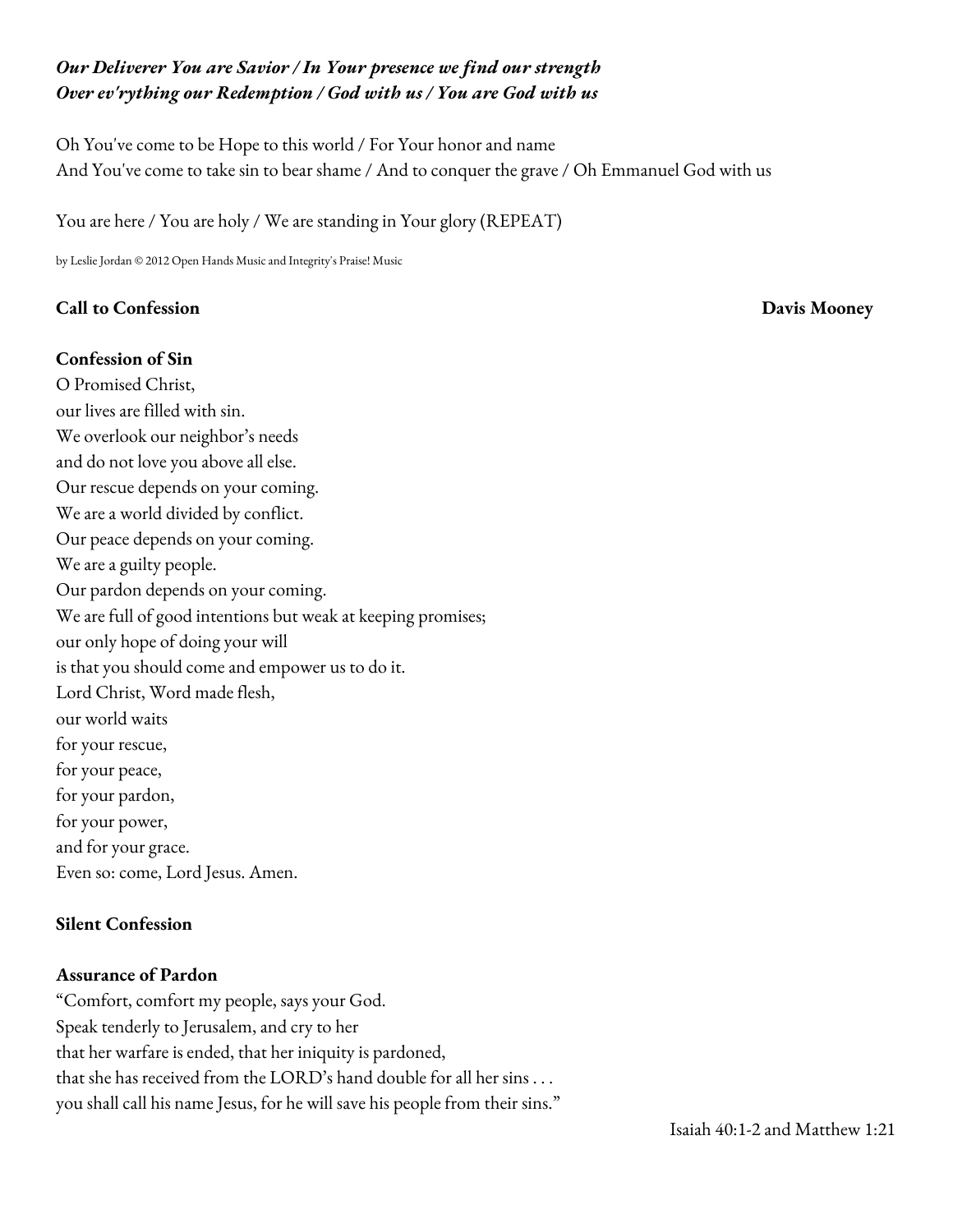# *Our Deliverer You are Savior / In Your presence we find our strength Over ev'rything our Redemption / God with us / You are God with us*

Oh You've come to be Hope to this world / For Your honor and name And You've come to take sin to bear shame / And to conquer the grave / Oh Emmanuel God with us

You are here / You are holy / We are standing in Your glory (REPEAT)

by Leslie Jordan © 2012 Open Hands Music and Integrity's Praise! Music

#### **Call to Confession Davis Mooney**

#### **Confession of Sin**

O Promised Christ, our lives are filled with sin. We overlook our neighbor's needs and do not love you above all else. Our rescue depends on your coming. We are a world divided by conflict. Our peace depends on your coming. We are a guilty people. Our pardon depends on your coming. We are full of good intentions but weak at keeping promises; our only hope of doing your will is that you should come and empower us to do it. Lord Christ, Word made flesh, our world waits for your rescue, for your peace, for your pardon, for your power, and for your grace. Even so: come, Lord Jesus. Amen.

#### **Silent Confession**

#### **Assurance of Pardon**

"Comfort, comfort my people, says your God. Speak tenderly to Jerusalem, and cry to her that her warfare is ended, that her iniquity is pardoned, that she has received from the  $\mathrm{LORD}$ 's hand double for all her sins  $\ldots$ you shall call his name Jesus, for he will save his people from their sins."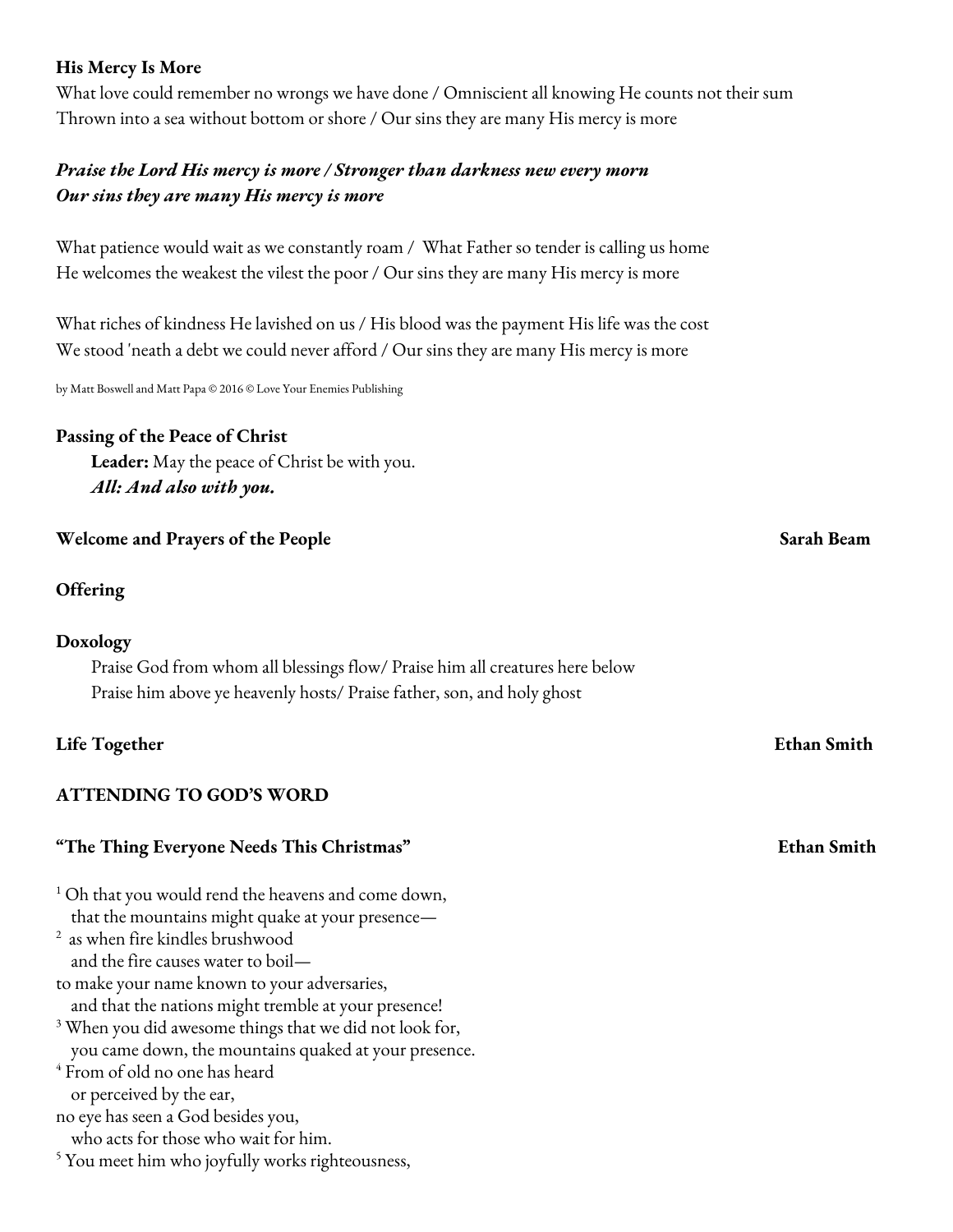# **His Mercy Is More**

What love could remember no wrongs we have done / Omniscient all knowing He counts not their sum Thrown into a sea without bottom or shore / Our sins they are many His mercy is more

# *Praise the Lord His mercy is more / Stronger than darkness new every morn Our sins they are many His mercy is more*

What patience would wait as we constantly roam / What Father so tender is calling us home He welcomes the weakest the vilest the poor / Our sins they are many His mercy is more

What riches of kindness He lavished on us / His blood was the payment His life was the cost We stood 'neath a debt we could never afford / Our sins they are many His mercy is more

by Matt Boswell and Matt Papa © 2016 © Love Your Enemies Publishing

#### **Passing of the Peace of Christ**

**Leader:** May the peace of Christ be with you. *All: And also with you.*

#### **Welcome and Prayers of the People Sarah Beam**

#### **Offering**

#### **Doxology**

Praise God from whom all blessings flow/ Praise him all creatures here below Praise him above ye heavenly hosts/ Praise father, son, and holy ghost

#### **Life Together Ethan Smith**

# **ATTENDING TO GOD'S WORD**

#### **"The Thing Everyone Needs This Christmas" Ethan Smith**

 $1$  Oh that you would rend the heavens and come down, that the mountains might quake at your presence—

<sup>2</sup> as when fire kindles brushwood and the fire causes water to boil—

to make your name known to your adversaries,

and that the nations might tremble at your presence!

 $3$  When you did awesome things that we did not look for,

you came down, the mountains quaked at your presence.

<sup>4</sup> From of old no one has heard

or perceived by the ear,

no eye has seen a God besides you, who acts for those who wait for him.

<sup>5</sup> You meet him who joyfully works righteousness,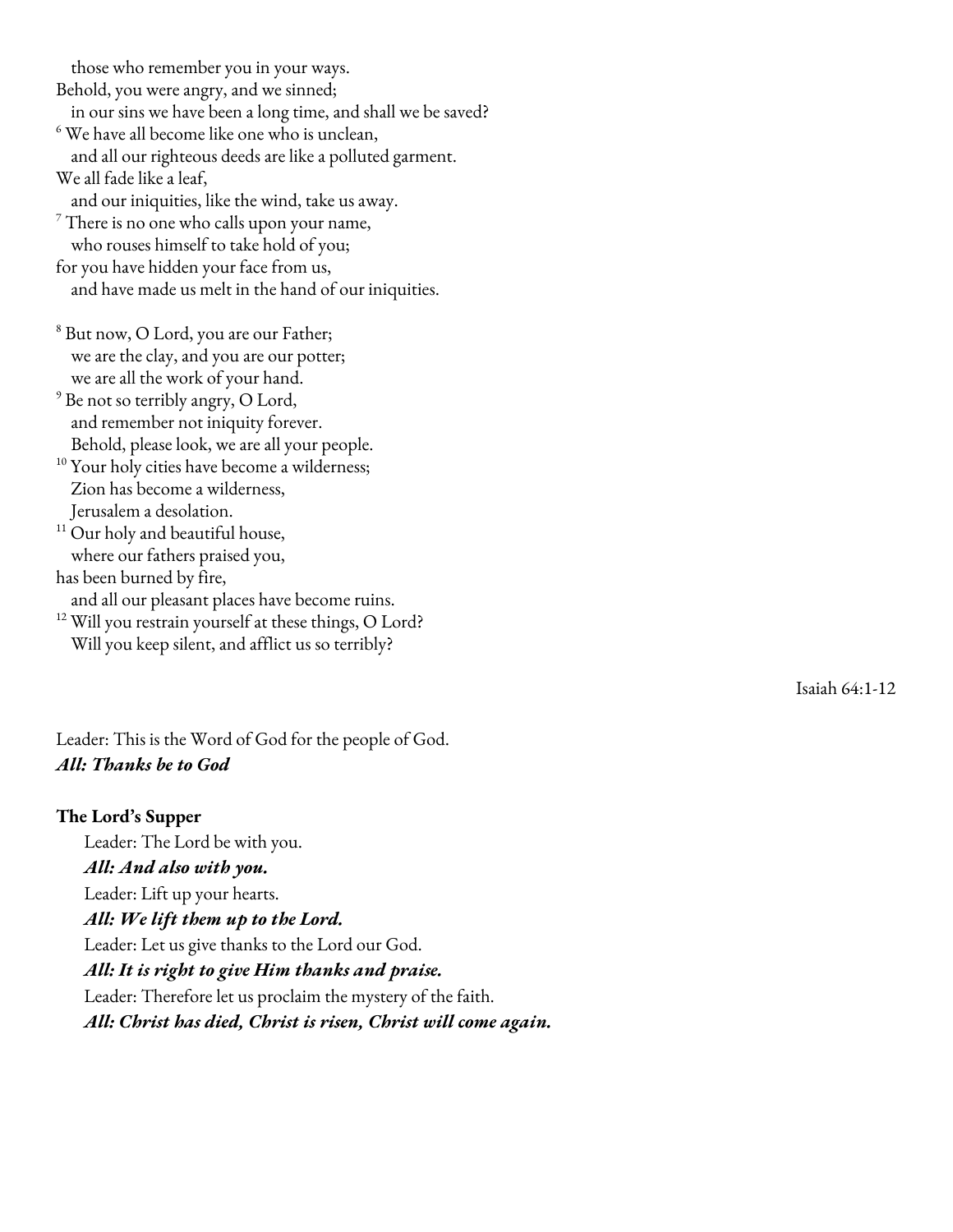those who remember you in your ways.

Behold, you were angry, and we sinned;

in our sins we have been a long time, and shall we be saved?

 $6$  We have all become like one who is unclean, and all our righteous deeds are like a polluted garment.

We all fade like a leaf,

and our iniquities, like the wind, take us away.

 $\frac{7}{7}$  There is no one who calls upon your name,

who rouses himself to take hold of you;

for you have hidden your face from us,

and have made us melt in the hand of our iniquities.

<sup>8</sup> But now, O Lord, you are our Father; we are the clay, and you are our potter; we are all the work of your hand.

 $^9$  Be not so terribly angry, O Lord, and remember not iniquity forever. Behold, please look, we are all your people.

<sup>10</sup> Your holy cities have become a wilderness; Zion has become a wilderness, Jerusalem a desolation.

<sup>11</sup> Our holy and beautiful house, where our fathers praised you,

has been burned by fire,

and all our pleasant places have become ruins.

 $^{12}$  Will you restrain yourself at these things, O Lord? Will you keep silent, and afflict us so terribly?

Isaiah 64:1-12

Leader: This is the Word of God for the people of God. *All: Thanks be to God*

#### **The Lord's Supper**

Leader: The Lord be with you. *All: And also with you.* Leader: Lift up your hearts. *All: We lift them up to the Lord.* Leader: Let us give thanks to the Lord our God. *All: It is right to give Him thanks and praise.* Leader: Therefore let us proclaim the mystery of the faith. *All: Christ has died, Christ is risen, Christ will come aga i n .*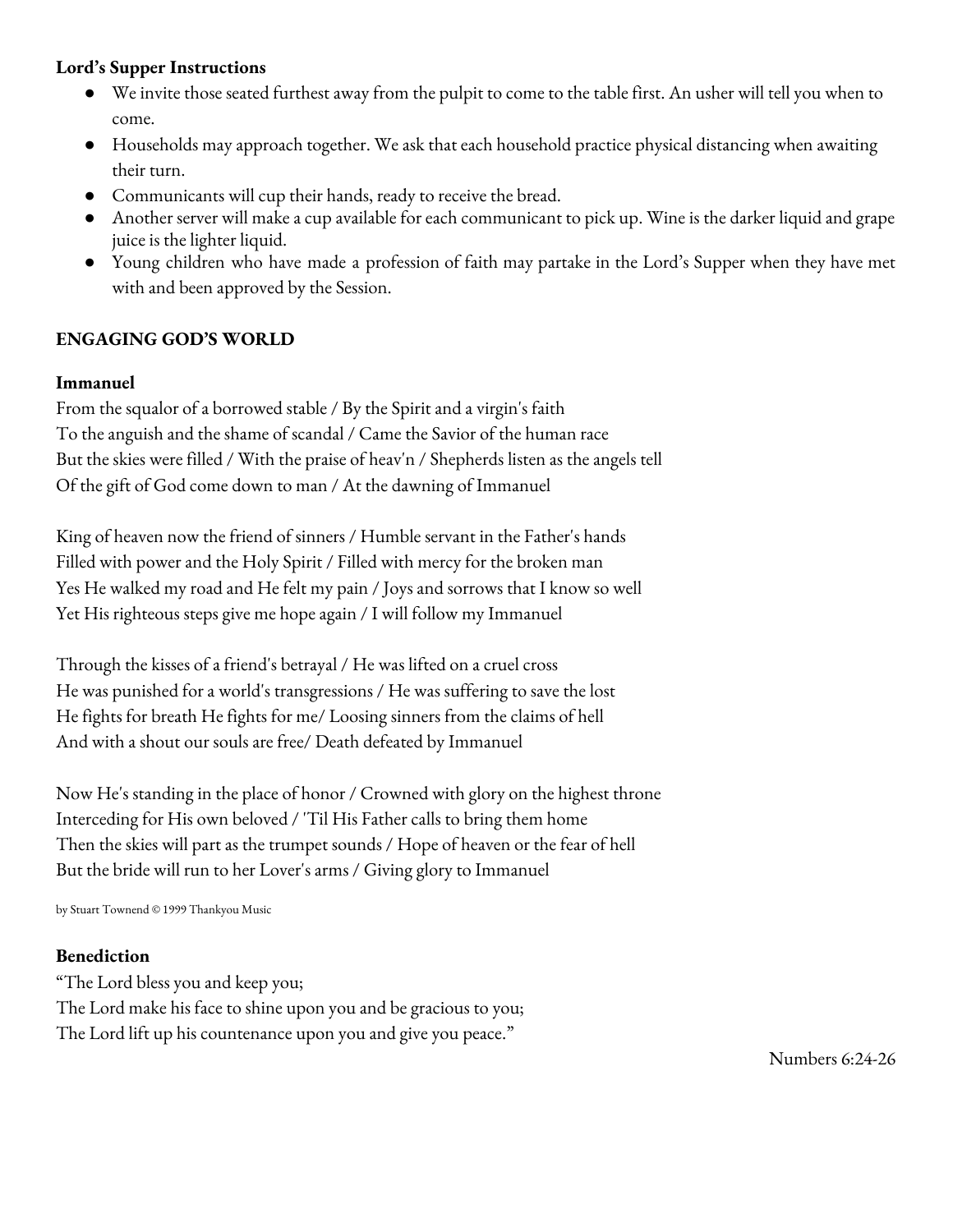# **Lord's Supper Instructions**

- We invite those seated furthest away from the pulpit to come to the table first. An usher will tell you when to come.
- Households may approach together. We ask that each household practice physical distancing when awaiting their turn.
- Communicants will cup their hands, ready to receive the bread.
- Another server will make a cup available for each communicant to pick up. Wine is the darker liquid and grape juice is the lighter liquid.
- Young children who have made a profession of faith may partake in the Lord's Supper when they have met with and been approved by the Session.

# **ENGAGING GOD'S WORLD**

## **Immanuel**

From the squalor of a borrowed stable / By the Spirit and a virgin's faith To the anguish and the shame of scandal / Came the Savior of the human race But the skies were filled / With the praise of heav'n / Shepherds listen as the angels tell Of the gift of God come down to man / At the dawning of Immanuel

King of heaven now the friend of sinners / Humble servant in the Father's hands Filled with power and the Holy Spirit / Filled with mercy for the broken man Yes He walked my road and He felt my pain / Joys and sorrows that I know so well Yet His righteous steps give me hope again / I will follow my Immanuel

Through the kisses of a friend's betrayal / He was lifted on a cruel cross He was punished for a world's transgressions / He was suffering to save the lost He fights for breath He fights for me/ Loosing sinners from the claims of hell And with a shout our souls are free/ Death defeated by Immanuel

Now He's standing in the place of honor / Crowned with glory on the highest throne Interceding for His own beloved / 'Til His Father calls to bring them home Then the skies will part as the trumpet sounds / Hope of heaven or the fear of hell But the bride will run to her Lover's arms / Giving glory to Immanuel

by Stuart Townend © 1999 Thankyou Music

#### **Benediction**

"The Lord bless you and keep you; The Lord make his face to shine upon you and be gracious to you; The Lord lift up his countenance upon you and give you peace."

Numbers 6:24-26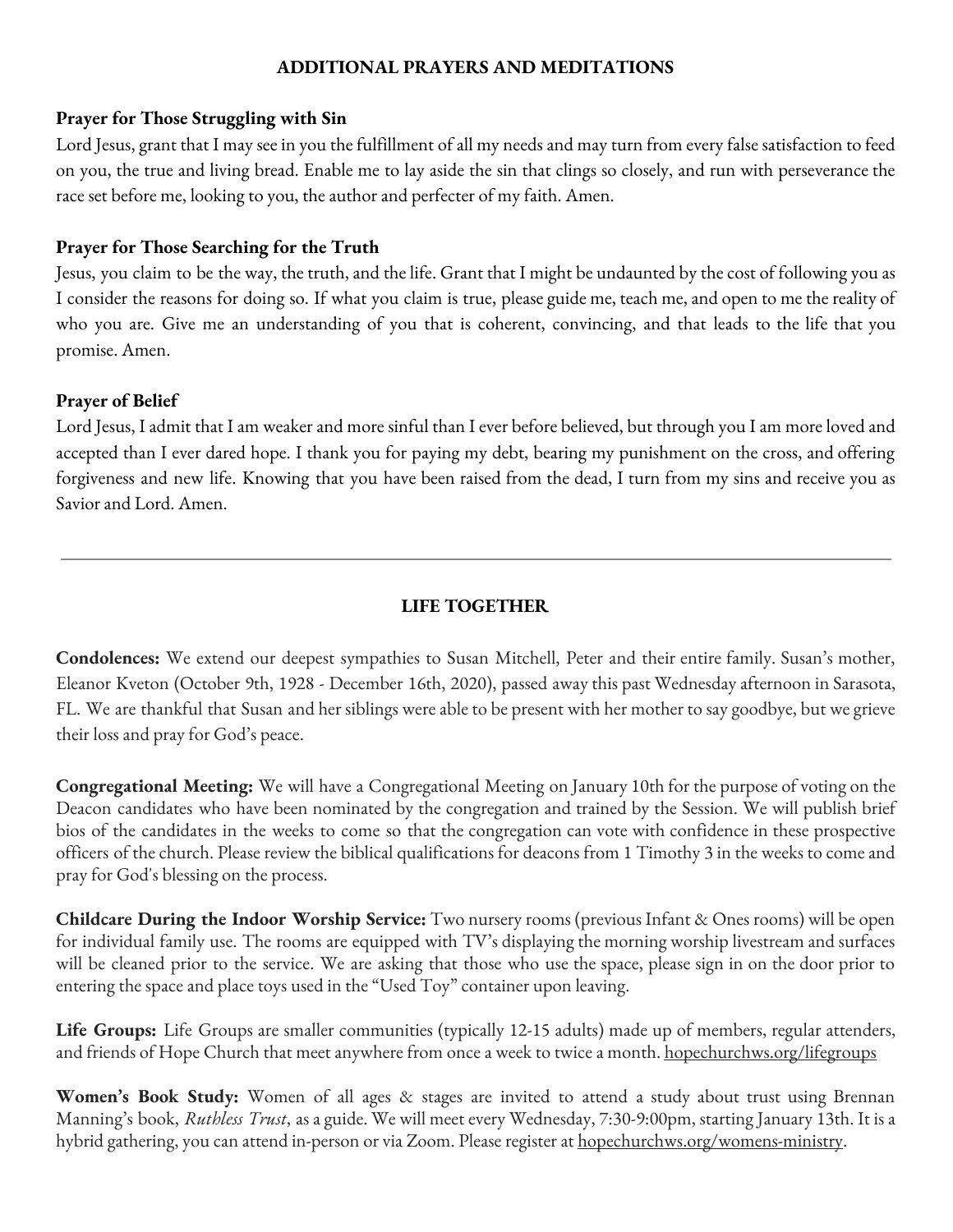#### **ADDITIONAL PRAYERS AND MEDITATIONS**

#### **Prayer for Those Struggling with Sin**

Lord Jesus, grant that I may see in you the fulfillment of all my needs and may turn from every false satisfaction to feed on you, the true and living bread. Enable me to lay aside the sin that clings so closely, and run with perseverance the race set before me, looking to you, the author and perfecter of my faith. Amen.

#### **Prayer for Those Searching for the Truth**

Jesus, you claim to be the way, the truth, and the life. Grant that I might be undaunted by the cost of following you as I consider the reasons for doing so. If what you claim is true, please guide me, teach me, and open to me the reality of who you are. Give me an understanding of you that is coherent, convincing, and that leads to the life that you promise. Amen.

## **Prayer of Belief**

Lord Jesus, I admit that I am weaker and more sinful than I ever before believed, but through you I am more loved and accepted than I ever dared hope. I thank you for paying my debt, bearing my punishment on the cross, and offering forgiveness and new life. Knowing that you have been raised from the dead, I turn from my sins and receive you as Savior and Lord. Amen.

# **LIFE TOGETHER**

**Condolences:** We extend our deepest sympathies to Susan Mitchell, Peter and their entire family. Susan's mother, Eleanor Kveton (October 9th, 1928 - December 16th, 2020), passed away this past Wednesday afternoon in Sarasota, FL. We are thankful that Susan and her siblings were able to be present with her mother to say goodbye, but we grieve their loss and pray for God's peace.

**Congregational Meeting:** We will have a Congregational Meeting on January 10th for the purpose of voting on the Deacon candidates who have been nominated by the congregation and trained by the Session. We will publish brief bios of the candidates in the weeks to come so that the congregation can vote with confidence in these prospective officers of the church. Please review the biblical qualifications for deacons from 1 [Timothy](https://www.biblegateway.com/passage/?search=1+timothy+3&version=ESV) 3 in the weeks to come and pray for God's blessing on the process.

**Childcare During the Indoor Worship Service:** Two nursery rooms (previous Infant & Ones rooms) will be open for individual family use. The rooms are equipped with TV's displaying the morning worship livestream and surfaces will be cleaned prior to the service. We are asking that those who use the space, please sign in on the door prior to entering the space and place toys used in the "Used Toy" container upon leaving.

**Life Groups:** Life Groups are smaller communities (typically 12-15 adults) made up of members, regular attenders, and friends of Hope Church that meet anywhere from once a week to twice a month. [hopechurchws.org/lifegroups](http://hopechurchws.org/lifegroups)

**Women's Book Study:** Women of all ages & stages are invited to attend a study about trust using Brennan Manning's book, *Ruthless Trust*, asa guide. We will meet every Wednesday, 7:30-9:00pm, starting January 13th. It isa hybrid gathering, you can attend in-person or via Zoom. Please register at <u>hopechurchws.org/womens-ministry</u>.